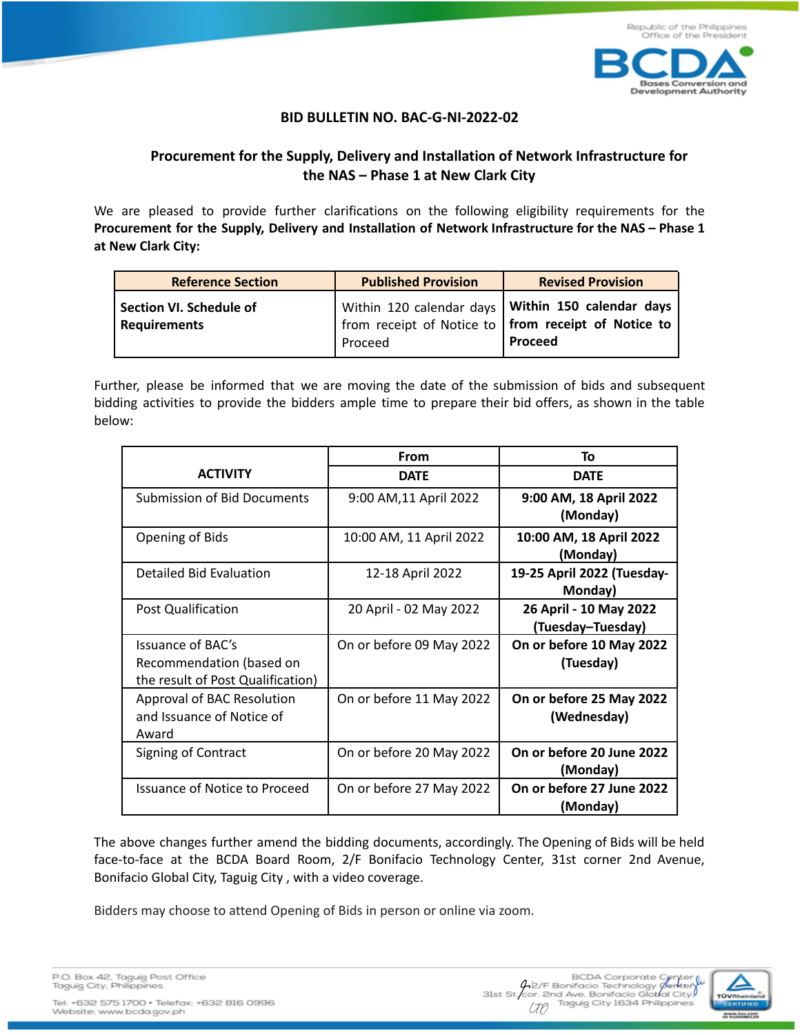

## **BID BULLETIN NO. BAC-G-NI-2022-02**

## **Procurement for the Supply, Delivery and Installation of Network Infrastructure for the NAS – Phase 1 at New Clark City**

We are pleased to provide further clarifications on the following eligibility requirements for the **Procurement for the Supply, Delivery and Installation of Network Infrastructure for the NAS – Phase 1 at New Clark City:**

| <b>Reference Section</b>                       | <b>Published Provision</b> | <b>Revised Provision</b>                                                                                                          |
|------------------------------------------------|----------------------------|-----------------------------------------------------------------------------------------------------------------------------------|
| Section VI. Schedule of<br><b>Requirements</b> | Proceed                    | Within 120 calendar days <b>Within 150 calendar days</b><br>from receipt of Notice to <b>from receipt of Notice to</b><br>Proceed |

Further, please be informed that we are moving the date of the submission of bids and subsequent bidding activities to provide the bidders ample time to prepare their bid offers, as shown in the table below:

|                                                                                    | From                     | To                                          |
|------------------------------------------------------------------------------------|--------------------------|---------------------------------------------|
| <b>ACTIVITY</b>                                                                    | <b>DATE</b>              | <b>DATE</b>                                 |
| Submission of Bid Documents                                                        | 9:00 AM, 11 April 2022   | 9:00 AM, 18 April 2022<br>(Monday)          |
| Opening of Bids                                                                    | 10:00 AM, 11 April 2022  | 10:00 AM, 18 April 2022<br>(Monday)         |
| Detailed Bid Evaluation                                                            | 12-18 April 2022         | 19-25 April 2022 (Tuesday-<br>Monday)       |
| Post Qualification                                                                 | 20 April - 02 May 2022   | 26 April - 10 May 2022<br>(Tuesday–Tuesday) |
| Issuance of BAC's<br>Recommendation (based on<br>the result of Post Qualification) | On or before 09 May 2022 | On or before 10 May 2022<br>(Tuesday)       |
| Approval of BAC Resolution<br>and Issuance of Notice of<br>Award                   | On or before 11 May 2022 | On or before 25 May 2022<br>(Wednesday)     |
| Signing of Contract                                                                | On or before 20 May 2022 | On or before 20 June 2022<br>(Monday)       |
| Issuance of Notice to Proceed                                                      | On or before 27 May 2022 | On or before 27 June 2022<br>(Monday)       |

The above changes further amend the bidding documents, accordingly. The Opening of Bids will be held face-to-face at the BCDA Board Room, 2/F Bonifacio Technology Center, 31st corner 2nd Avenue, Bonifacio Global City, Taguig City , with a video coverage.

Bidders may choose to attend Opening of Bids in person or online via zoom.